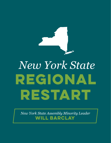

## *New York State* **REGIONAL RESTART**

*New York State Assembly Minority Leader*  **Will Barclay**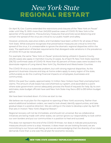## *New York State* **REGIONAL RESTART**

On April 16, Gov. Cuomo extended the restrictions and closures of the "New York on Pause" order until May 15. With more than 240,000 positive cases of COVID-19, New York is the epicenter of the pandemic. Precautionary measures that promote social distancing and contain the spread of the virus are critical to our public health and safety.

However, protocols, executive orders, and mandates have been uniform for all areas of New York State. While everyone recognizes that preventative measures are critical to limit the spread of the virus, it is unreasonable to ignore the dramatic regional disparities within the state. The application of blanket requirements that disregard wide variations in the prevalence of COVID-19 must be reevaluated.

For example, the same "New York on Pause" protocols being utilized in Queens County (40,216 cases) also apply in Hamilton County (3 cases). As of April 19, New York State reported 236,732 confirmed cases of COVID-19. More than 92 percent of those cases were located in the downstate regions of Long Island, New York City, Rockland and Westchester Counties.

The COVID-19 virus is a statewide problem, but with strong regional disparities. As the governor's business closures and stay-at-home orders apply to every region of the state, unfortunately so do the crushing financial impacts on employees, businesses and communities.

Within the past four weeks, approximately 1.2 million New Yorkers have filed unemployment claims. The amount of job losses has overwhelmed our system, and ascended to a point where state government cannot adequately process the flood of requests for help. By its own estimates, state budget officials have said New York State may face a \$10 to \$15 billion budget deficit.

We have been knocked down. It's time we start to rise.

We believe we must plan for the regional re-opening of New York's economy. Rather than extend additional lockdown orders, we need to look ahead, identify opportunities, and take gradual steps in a positive direction. We are calling on the state to develop a plan by April 30 that sets in motion "New York's Regional Restart."

Regional recovery will not be immediate, and should not universal. But as collaborative initiatives are being made with other states, we cannot ignore our responsibility to look within our own borders and put our communities in a position to heal and succeed.

This does not represent the end of the COVID-19 threat, nor does it indicate precautionary measures should come to a stop. However, it does mean we are looking forward, we are committing to our future well-being, and we are acknowledging that the diversity of our state demands more than a one-size-fits-all plan for economic recovery.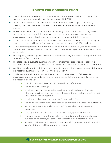## **POINTS FOR CONSIDERATION**

- ◆ New York State must take a common-sense, regional approach to begin to restart the economy, and have a plan to take this step by April 30, 2020.
- Each region of the state has different levels of infection and of population density, creating the possible scenario where some areas are reopened while others remain closed.
- ◆ The New York State Department of Health, working in conjunction with county health departments, must establish a formula to permit the reopening of non-essential businesses in regions that have experienced low numbers of COVID-19 cases.
- ◆ Under this formula, DOH and local health departments would calculate a percentage of confirmed cases and hospitalizations over a two-week period per 1,000 residents.
- ◆ If that percentage is below a number determined to be safe by DOH, then non-essential businesses in that region should be permitted to reopen at 25 percent capacity for a twoweek period.
- That capacity percentage would continue to increase every two weeks as long as infection rates remain flat or decline.
- ◆ The state should evaluate businesses' ability to implement proper social-distancing protocols, and establish risk levels for each in order to best protect workers and customers.
- ◆ Working in collaboration, state and local agencies would establish proper social distancing practices for businesses in each region to begin opening.
- Guidance on social distancing practices and a comprehensive list of all essential businesses would be posted on all major agency sites. A list of proper social distancing practices would include:
	- ➤ Ensuring business capacity maintains 6-foot buffer zones
	- ➤ Requiring face coverings
	- ➤ Prioritize opportunities to deliver services or products by appointment whenever feasible, rather than create the potential for customers gathering in lines, groups, or waiting rooms.
	- ▶ Prioritizing online payment over cashiers when feasible.
	- ➤ Requiring telecommuting when feasible to protect employees and customers.
	- ➤ Making hand sanitizer and/or wash stations available to employees and customers.
	- ➤ Utilizing school facilities for child-care with safety protocols in place.
	- ➤ Implementing a shut-off valve policy to immediately but temporarily close a business when employees come into contact with an infected person.
	- ➤ Allowing businesses still deemed non-essential to propose a social distancing plan to ESD and DOH for approval to reopen.